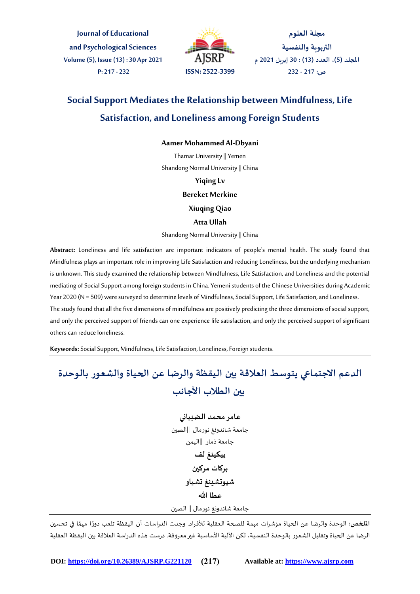**Journal of Educational and Psychological Sciences Volume (5), Issue (13) : 30 Apr 2021 P: 217 - 232 ISSN: 2522-3399**



**مجلة العلوم التربوية والنفسية املجلد )5(، العدد )13( : 30 إبريل 2021 م ص: 217 - 232**

## **Social Support Mediates the Relationship between Mindfulness, Life Satisfaction, and Loneliness among Foreign Students**

## **Aamer Mohammed Al-Dbyani**

Thamar University || Yemen Shandong Normal University || China

> **Yiqing Lv Bereket Merkine Xiuqing Qiao Atta Ullah**

Shandong Normal University || China

**Abstract:** Loneliness and life satisfaction are important indicators of people's mental health. The study found that Mindfulness plays an important role in improving Life Satisfaction and reducing Loneliness, but the underlying mechanism is unknown. This study examined the relationship between Mindfulness, Life Satisfaction, and Loneliness and the potential mediating of Social Support among foreign students in China. Yemeni students of the Chinese Universities during Academic Year 2020 (N = 509) were surveyed to determine levels of Mindfulness, Social Support, Life Satisfaction, and Loneliness. The study found that all the five dimensions of mindfulness are positively predicting the three dimensions of social support, and only the perceived support of friends can one experience life satisfaction, and only the perceived support of significant others can reduce loneliness.

**Keywords:**Social Support, Mindfulness, Life Satisfaction, Loneliness, Foreign students.

# **الدعم االجتماعي يتوسط العالقة بين اليقظة والرضا عن الحياة والشعور بالوحدة بين الطالب األجانب**

**عامر محمد الضبياني** جامعة شاندونغ نورمال ||الصين جامعة ذمار ||اليمن **ييكينغ لف بركات مركين شيوتشينغ تشياو عطا هللا** جامعة شاندونغ نورمال || الصين

ًا**لملخص:** الوحدة والرضا عن الحياة مؤشرات مهمة للصحة العقلية للأفراد. وجدت الدراسات أن اليقظة تلعب دورًا مهمًا في تح*س*ين ً الرضا عن الحياة وتقليل الشعور بالوحدة النفسية، لكن اآللية األساسية غيرمعروفة. درست هذه الدراسة العالقة بين اليقظة العقلية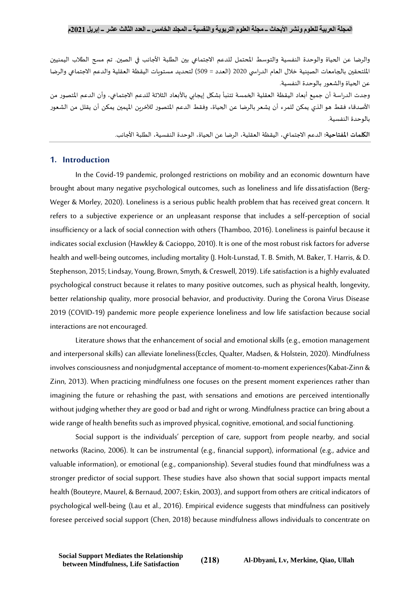والرضا عن الحياة والوحدة النفسية والتوسط المحتمل للدعم الاجتماعي بين الطلبة الأجانب في الصين. تم مسح الطلاب اليمنيين الملتحقين بالجامعات الصينية خلال العام الدراسي 2020 (العدد = 509) لتحديد مستويات اليقظة العقلية والدعم الاجتماعي والرضا عن الحياة والشعور بالوحدة النفسية.

وجدت الدراسة أن جميع أبعاد اليقظة العقلية الخمسة تتنبأ بشكل إيجابي بالأبعاد الثلاثة للدعم الاجتماعي، وأن الدعم المتصور من األصدقاء فقط هو الذي يمكن للمرء أن يشعر بالرضا عن الحياة، وفقط الدعم املتصور لآلخرين املهمين يمكن أن يقلل من الشعور بالوحدة النفسية.

**الكلمات املفتاحية:** الدعم االجتماعي، اليقظة العقلية، الرضا عن الحياة، الوحدة النفسية، الطلبة األجانب.

## **1. Introduction**

In the Covid-19 pandemic, prolonged restrictions on mobility and an economic downturn have brought about many negative psychological outcomes, such as loneliness and life dissatisfaction (Berg-Weger & Morley, 2020). Loneliness is a serious public health problem that has received great concern. It refers to a subjective experience or an unpleasant response that includes a self-perception of social insufficiency or a lack of social connection with others (Thamboo, 2016). Loneliness is painful because it indicates social exclusion (Hawkley & Cacioppo, 2010). It is one of the most robust risk factors for adverse health and well-being outcomes, including mortality (J. Holt-Lunstad, T. B. Smith, M. Baker, T. Harris, & D. Stephenson, 2015; Lindsay, Young, Brown, Smyth, & Creswell, 2019). Life satisfaction is a highly evaluated psychological construct because it relates to many positive outcomes, such as physical health, longevity, better relationship quality, more prosocial behavior, and productivity. During the Corona Virus Disease 2019 (COVID-19) pandemic more people experience loneliness and low life satisfaction because social interactions are not encouraged.

Literature shows that the enhancement of social and emotional skills (e.g., emotion management and interpersonal skills) can alleviate loneliness(Eccles, Qualter, Madsen, & Holstein, 2020). Mindfulness involves consciousness and nonjudgmental acceptance of moment-to-moment experiences(Kabat-Zinn & Zinn, 2013). When practicing mindfulness one focuses on the present moment experiences rather than imagining the future or rehashing the past, with sensations and emotions are perceived intentionally without judging whether they are good or bad and right or wrong. Mindfulness practice can bring about a wide range of health benefits such as improved physical, cognitive, emotional, and social functioning.

Social support is the individuals' perception of care, support from people nearby, and social networks (Racino, 2006). It can be instrumental (e.g., financial support), informational (e.g., advice and valuable information), or emotional (e.g., companionship). Several studies found that mindfulness was a stronger predictor of social support. These studies have also shown that social support impacts mental health (Bouteyre, Maurel, & Bernaud, 2007; Eskin, 2003), and support from others are critical indicators of psychological well-being (Lau et al., 2016). Empirical evidence suggests that mindfulness can positively foresee perceived social support (Chen, 2018) because mindfulness allows individuals to concentrate on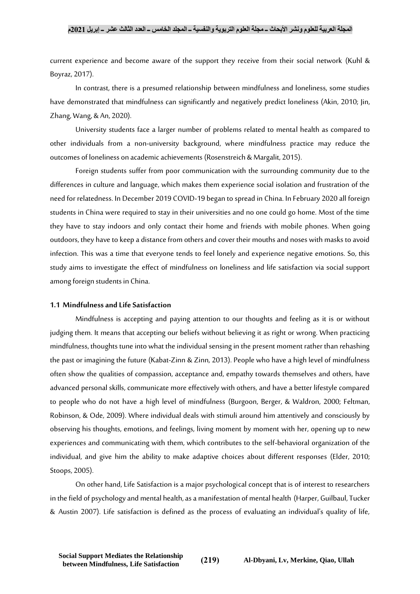current experience and become aware of the support they receive from their social network (Kuhl & Boyraz, 2017).

In contrast, there is a presumed relationship between mindfulness and loneliness, some studies have demonstrated that mindfulness can significantly and negatively predict loneliness (Akin, 2010; Jin, Zhang, Wang, & An, 2020).

University students face a larger number of problems related to mental health as compared to other individuals from a non-university background, where mindfulness practice may reduce the outcomes of loneliness on academic achievements (Rosenstreich & Margalit, 2015).

Foreign students suffer from poor communication with the surrounding community due to the differences in culture and language, which makes them experience social isolation and frustration of the need for relatedness. In December 2019 COVID-19 began to spread in China. In February 2020 all foreign students in China were required to stay in their universities and no one could go home. Most of the time they have to stay indoors and only contact their home and friends with mobile phones. When going outdoors, they have to keep a distance from others and cover their mouths and noses with masks to avoid infection. This was a time that everyone tends to feel lonely and experience negative emotions. So, this study aims to investigate the effect of mindfulness on loneliness and life satisfaction via social support among foreign students in China.

#### **1.1 Mindfulness and Life Satisfaction**

Mindfulness is accepting and paying attention to our thoughts and feeling as it is or without judging them. It means that accepting our beliefs without believing it as right or wrong. When practicing mindfulness, thoughts tune into what the individual sensing in the present moment rather than rehashing the past or imagining the future (Kabat-Zinn & Zinn, 2013). People who have a high level of mindfulness often show the qualities of compassion, acceptance and, empathy towards themselves and others, have advanced personal skills, communicate more effectively with others, and have a better lifestyle compared to people who do not have a high level of mindfulness (Burgoon, Berger, & Waldron, 2000; Feltman, Robinson, & Ode, 2009). Where individual deals with stimuli around him attentively and consciously by observing his thoughts, emotions, and feelings, living moment by moment with her, opening up to new experiences and communicating with them, which contributes to the self-behavioral organization of the individual, and give him the ability to make adaptive choices about different responses (Elder, 2010; Stoops, 2005).

On other hand, Life Satisfaction is a major psychological concept that is of interest to researchers in the field of psychology and mental health, as a manifestation of mental health (Harper, Guilbaul, Tucker & Austin 2007). Life satisfaction is defined as the process of evaluating an individual's quality of life,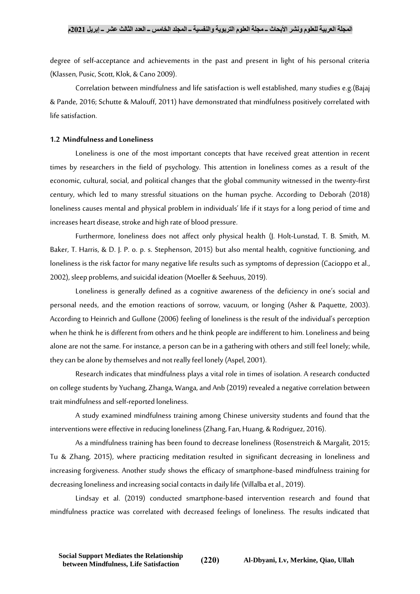degree of self-acceptance and achievements in the past and present in light of his personal criteria (Klassen, Pusic, Scott, Klok, & Cano 2009).

Correlation between mindfulness and life satisfaction is well established, many studies e.g.(Bajaj & Pande, 2016; Schutte & Malouff, 2011) have demonstrated that mindfulness positively correlated with life satisfaction.

#### **1.2 Mindfulness and Loneliness**

Loneliness is one of the most important concepts that have received great attention in recent times by researchers in the field of psychology. This attention in loneliness comes as a result of the economic, cultural, social, and political changes that the global community witnessed in the twenty-first century, which led to many stressful situations on the human psyche. According to Deborah (2018) loneliness causes mental and physical problem in individuals' life if it stays for a long period of time and increases heart disease, stroke and high rate of blood pressure.

Furthermore, loneliness does not affect only physical health (J. Holt-Lunstad, T. B. Smith, M. Baker, T. Harris, & D. J. P. o. p. s. Stephenson, 2015) but also mental health, cognitive functioning, and loneliness is the risk factor for many negative life results such as symptoms of depression (Cacioppo et al., 2002), sleep problems, and suicidal ideation (Moeller & Seehuus, 2019).

Loneliness is generally defined as a cognitive awareness of the deficiency in one's social and personal needs, and the emotion reactions of sorrow, vacuum, or longing (Asher & Paquette, 2003). According to Heinrich and Gullone (2006) feeling of loneliness is the result of the individual's perception when he think he is different from others and he think people are indifferent to him. Loneliness and being alone are not the same. For instance, a person can be in a gathering with others and still feel lonely; while, they can be alone by themselves and not really feel lonely (Aspel, 2001).

Research indicates that mindfulness plays a vital role in times of isolation. A research conducted on college students by Yuchang, Zhanga, Wanga, and Anb (2019) revealed a negative correlation between trait mindfulness and self-reported loneliness.

A study examined mindfulness training among Chinese university students and found that the interventions were effective in reducing loneliness (Zhang, Fan, Huang, & Rodriguez, 2016).

As a mindfulness training has been found to decrease loneliness (Rosenstreich & Margalit, 2015; Tu & Zhang, 2015), where practicing meditation resulted in significant decreasing in loneliness and increasing forgiveness. Another study shows the efficacy of smartphone-based mindfulness training for decreasing loneliness and increasing social contacts in daily life (Villalba et al., 2019).

Lindsay et al. (2019) conducted smartphone-based intervention research and found that mindfulness practice was correlated with decreased feelings of loneliness. The results indicated that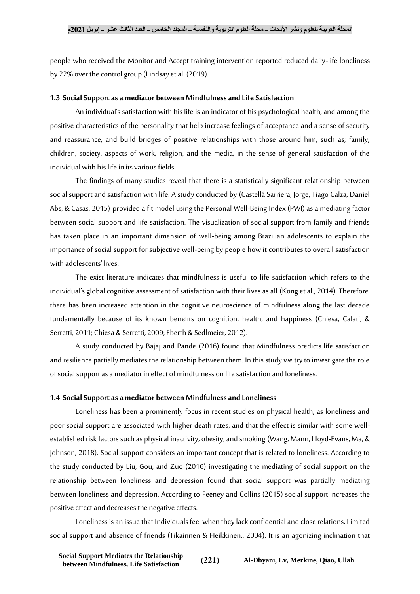people who received the Monitor and Accept training intervention reported reduced daily-life loneliness by 22% over the control group (Lindsay et al. (2019).

#### **1.3 Social Support as a mediator between Mindfulness and Life Satisfaction**

An individual's satisfaction with his life is an indicator of his psychological health, and among the positive characteristics of the personality that help increase feelings of acceptance and a sense of security and reassurance, and build bridges of positive relationships with those around him, such as; family, children, society, aspects of work, religion, and the media, in the sense of general satisfaction of the individual with his life in its various fields.

The findings of many studies reveal that there is a statistically significant relationship between social support and satisfaction with life. A study conducted by (Castellá Sarriera, Jorge, Tiago Calza, Daniel Abs, & Casas, 2015) provided a fit model using the Personal Well-Being Index (PWI) as a mediating factor between social support and life satisfaction. The visualization of social support from family and friends has taken place in an important dimension of well-being among Brazilian adolescents to explain the importance of social support for subjective well-being by people how it contributes to overall satisfaction with adolescents' lives.

The exist literature indicates that mindfulness is useful to life satisfaction which refers to the individual's global cognitive assessment of satisfaction with their lives as all (Kong et al., 2014). Therefore, there has been increased attention in the cognitive neuroscience of mindfulness along the last decade fundamentally because of its known benefits on cognition, health, and happiness (Chiesa, Calati, & Serretti, 2011; Chiesa & Serretti, 2009; Eberth & Sedlmeier, 2012).

A study conducted by Bajaj and Pande (2016) found that Mindfulness predicts life satisfaction and resilience partially mediates the relationship between them. In this study we try to investigate the role of social support as a mediator in effect of mindfulness on life satisfaction and loneliness.

#### **1.4 Social Support as a mediator between Mindfulness and Loneliness**

Loneliness has been a prominently focus in recent studies on physical health, as loneliness and poor social support are associated with higher death rates, and that the effect is similar with some wellestablished risk factors such as physical inactivity, obesity, and smoking (Wang, Mann, Lloyd-Evans, Ma, & Johnson, 2018). Social support considers an important concept that is related to loneliness. According to the study conducted by Liu, Gou, and Zuo (2016) investigating the mediating of social support on the relationship between loneliness and depression found that social support was partially mediating between loneliness and depression. According to Feeney and Collins (2015) social support increases the positive effect and decreases the negative effects.

Loneliness is an issue that Individuals feel when they lack confidential and close relations, Limited social support and absence of friends (Tikainnen & Heikkinen., 2004). It is an agonizing inclination that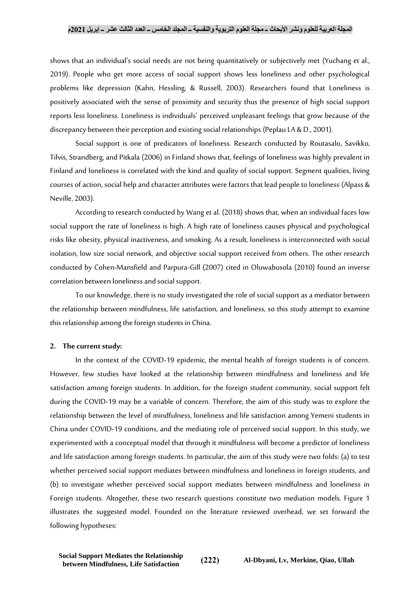shows that an individual's social needs are not being quantitatively or subjectively met (Yuchang et al., 2019). People who get more access of social support shows less loneliness and other psychological problems like depression (Kahn, Hessling, & Russell, 2003). Researchers found that Loneliness is positively associated with the sense of proximity and security thus the presence of high social support reports less loneliness. Loneliness is individuals' perceived unpleasant feelings that grow because of the discrepancy between their perception and existing social relationships (Peplau LA & D., 2001).

Social support is one of predicators of loneliness. Research conducted by Routasalo, Savikko, Tilvis, Strandberg, and Pitkala (2006) in Finland shows that, feelings of loneliness was highly prevalent in Finland and loneliness is correlated with the kind and quality of social support. Segment qualities, living courses of action, social help and character attributes were factors that lead people to loneliness (Alpass & Neville, 2003).

According to research conducted by Wang et al. (2018) shows that, when an individual faces low social support the rate of loneliness is high. A high rate of loneliness causes physical and psychological risks like obesity, physical inactiveness, and smoking. As a result, loneliness is interconnected with social isolation, low size social network, and objective social support received from others. The other research conducted by Cohen-Mansfield and Parpura-Gill (2007) cited in Oluwabusola (2010) found an inverse correlation between loneliness and social support.

To our knowledge, there is no study investigated the role of social support as a mediator between the relationship between mindfulness, life satisfaction, and loneliness, so this study attempt to examine this relationship among the foreign students in China.

#### **2. The current study:**

In the context of the COVID-19 epidemic, the mental health of foreign students is of concern. However, few studies have looked at the relationship between mindfulness and loneliness and life satisfaction among foreign students. In addition, for the foreign student community, social support felt during the COVID-19 may be a variable of concern. Therefore, the aim of this study was to explore the relationship between the level of mindfulness, loneliness and life satisfaction among Yemeni students in China under COVID-19 conditions, and the mediating role of perceived social support. In this study, we experimented with a conceptual model that through it mindfulness will become a predictor of loneliness and life satisfaction among foreign students. In particular, the aim of this study were two folds: (a) to test whether perceived social support mediates between mindfulness and loneliness in foreign students, and (b) to investigate whether perceived social support mediates between mindfulness and loneliness in Foreign students. Altogether, these two research questions constitute two mediation models. Figure 1 illustrates the suggested model. Founded on the literature reviewed overhead, we set forward the following hypotheses: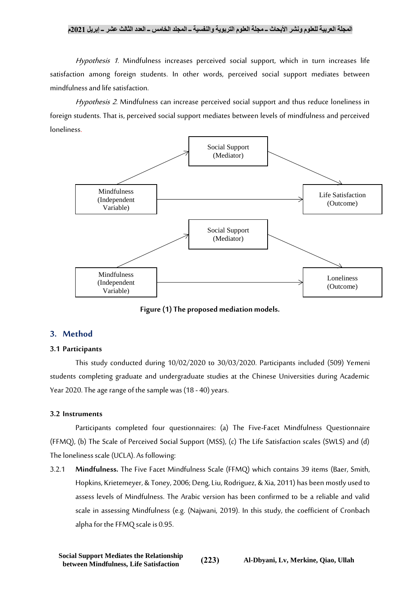Hypothesis 1. Mindfulness increases perceived social support, which in turn increases life satisfaction among foreign students. In other words, perceived social support mediates between mindfulness and life satisfaction.

Hypothesis 2. Mindfulness can increase perceived social support and thus reduce loneliness in foreign students.That is, perceived social support mediates between levels of mindfulness and perceived loneliness.



**Figure (1) The proposed mediation models.**

## **3. Method**

## **3.1 Participants**

This study conducted during 10/02/2020 to 30/03/2020. Participants included (509) Yemeni students completing graduate and undergraduate studies at the Chinese Universities during Academic Year 2020. The age range of the sample was (18 - 40) years.

#### **3.2 Instruments**

Participants completed four questionnaires: (a) The Five-Facet Mindfulness Questionnaire (FFMQ), (b) The Scale of Perceived Social Support (MSS), (c) The Life Satisfaction scales (SWLS) and (d) The loneliness scale (UCLA). As following:

3.2.1 **Mindfulness.** The Five Facet Mindfulness Scale (FFMQ) which contains 39 items (Baer, Smith, Hopkins, Krietemeyer, & Toney, 2006; Deng, Liu, Rodriguez, & Xia, 2011) has been mostly used to assess levels of Mindfulness. The Arabic version has been confirmed to be a reliable and valid scale in assessing Mindfulness (e.g. (Najwani, 2019). In this study, the coefficient of Cronbach alpha for the FFMQ scale is 0.95.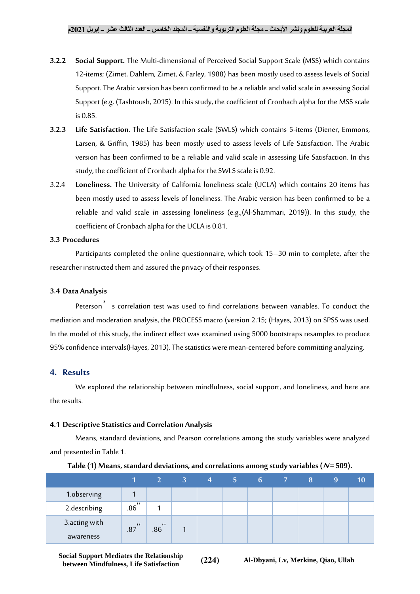- **3.2.2 Social Support.** The Multi-dimensional of Perceived Social Support Scale (MSS) which contains 12-items; (Zimet, Dahlem, Zimet, & Farley, 1988) has been mostly used to assess levels of Social Support. The Arabic version has been confirmed to be a reliable and valid scale in assessing Social Support (e.g. (Tashtoush, 2015). In this study, the coefficient of Cronbach alpha for the MSS scale is 0.85.
- **3.2.3 Life Satisfaction**. The Life Satisfaction scale (SWLS) which contains 5-items (Diener, Emmons, Larsen, & Griffin, 1985) has been mostly used to assess levels of Life Satisfaction. The Arabic version has been confirmed to be a reliable and valid scale in assessing Life Satisfaction. In this study, the coefficient of Cronbach alpha for the SWLS scale is 0.92.
- 3.2.4 **Loneliness.** The University of California loneliness scale (UCLA) which contains 20 items has been mostly used to assess levels of loneliness. The Arabic version has been confirmed to be a reliable and valid scale in assessing loneliness (e.g.,(Al-Shammari, 2019)). In this study, the coefficient of Cronbach alpha for the UCLA is 0.81.

## **3.3 Procedures**

Participants completed the online questionnaire, which took 15–30 min to complete, after the researcher instructed them and assured the privacy of their responses.

## **3.4 Data Analysis**

Peterson<sup>3</sup> s correlation test was used to find correlations between variables. To conduct the mediation and moderation analysis, the PROCESS macro (version 2.15; (Hayes, 2013) on SPSS was used. In the model of this study, the indirect effect was examined using 5000 bootstraps resamples to produce 95% confidence intervals(Hayes, 2013). The statistics were mean-centered before committing analyzing.

## **4. Results**

We explored the relationship between mindfulness, social support, and loneliness, and here are the results.

## **4.1 Descriptive Statistics and Correlation Analysis**

Means, standard deviations, and Pearson correlations among the study variables were analyzed and presented in Table 1.

|               |           | 2 <sup>1</sup> | $\sim$ 3 $\sim$ | $\overline{4}$ | $5 -$ | $6 -$ | 8 | 9 | (10) |
|---------------|-----------|----------------|-----------------|----------------|-------|-------|---|---|------|
| 1.observing   |           |                |                 |                |       |       |   |   |      |
| 2.describing  | **<br>.86 |                |                 |                |       |       |   |   |      |
| 3.acting with | $.87***$  | $**$<br>.86    |                 |                |       |       |   |   |      |
| awareness     |           |                |                 |                |       |       |   |   |      |

| Table (1) Means, standard deviations, and correlations among study variables ( $N = 509$ ). |  |  |
|---------------------------------------------------------------------------------------------|--|--|
|---------------------------------------------------------------------------------------------|--|--|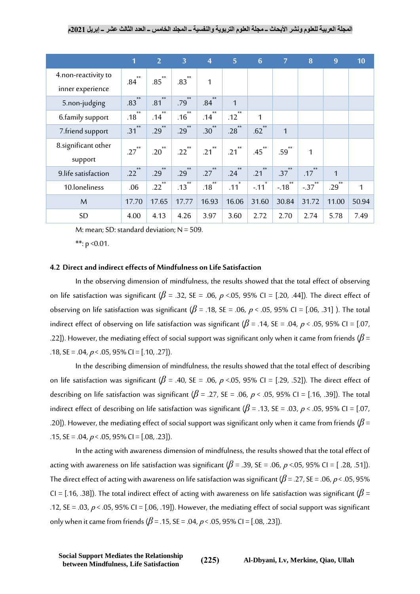|                                 | $\overline{1}$        | $\overline{2}$    | $\overline{3}$      | $\overline{4}$           | $\overline{5}$      | $6\phantom{1}6$     | $\overline{7}$ | 8              | 9            | 10    |
|---------------------------------|-----------------------|-------------------|---------------------|--------------------------|---------------------|---------------------|----------------|----------------|--------------|-------|
| 4.non-reactivity to             | $**$<br>.84           | $.85^{**}$        | $.83***$            | 1                        |                     |                     |                |                |              |       |
| inner experience                | $**$                  | $**$              | $**$                | $**$                     |                     |                     |                |                |              |       |
| 5.non-judging                   | .83                   | .81               | .79                 | .84                      | $\mathbf{1}$        |                     |                |                |              |       |
| 6.family support                | $**$<br>.18           | $**$<br>.14       | $**$<br>.16         | $**$<br>.14              | **<br>.12           | $\mathbf 1$         |                |                |              |       |
| 7.friend support                | $\ast\ast$<br>.31     | $**$<br>.29       | $\ast\ast$<br>.29   | $**$<br>.30 <sup>7</sup> | $**$<br>.28         | $**$<br>.62         | $\mathbf{1}$   |                |              |       |
| 8. significant other<br>support | $.27$ <sup>**</sup>   | $.20^{**}$        | $.22$ <sup>**</sup> | $**$<br>.21              | $.21$ <sup>**</sup> | $.45$ <sup>**</sup> | $.59^{**}$     | 1              |              |       |
| 9.life satisfaction             | $**$<br>$.22^\degree$ | $\ast\ast$<br>.29 | $\ast\ast$<br>.29   | .27                      | $\ast\ast$<br>.24   | $\ast\ast$<br>.21   | $.37^{**}$     | $**$<br>.17    | $\mathbf{1}$ |       |
| 10.loneliness                   | .06                   | $**$<br>.22       | $**$<br>.13         | $**$<br>.18              | $\ast$<br>.11       | $\ast$<br>$-11$     | $**$<br>$-.18$ | $**$<br>$-.37$ | $**$<br>.29  | 1     |
| M                               | 17.70                 | 17.65             | 17.77               | 16.93                    | 16.06               | 31.60               | 30.84          | 31.72          | 11.00        | 50.94 |
| <b>SD</b>                       | 4.00                  | 4.13              | 4.26                | 3.97                     | 3.60                | 2.72                | 2.70           | 2.74           | 5.78         | 7.49  |

M: mean; SD: standard deviation;  $N = 509$ .

\*\*:  $p \le 0.01$ .

#### **4.2 Direct and indirect effects of Mindfulness on Life Satisfaction**

In the observing dimension of mindfulness, the results showed that the total effect of observing on life satisfaction was significant ( $\beta$  = .32, SE = .06,  $\rho$  <.05, 95% CI = [.20, .44]). The direct effect of observing on life satisfaction was significant ( $\beta$  = .18, SE = .06,  $p$  < .05, 95% CI = [.06, .31] ). The total indirect effect of observing on life satisfaction was significant ( $\beta$  = .14, SE = .04, p < .05, 95% CI = [.07, .22]). However, the mediating effect of social support was significant only when it came from friends (*β* = .18, SE = .04,  $p <$  .05, 95% CI = [.10, .27]).

In the describing dimension of mindfulness, the results showed that the total effect of describing on life satisfaction was significant ( $\beta$  = .40, SE = .06,  $\rho$  <.05, 95% CI = [.29, .52]). The direct effect of describing on life satisfaction was significant ( $\beta$  = .27, SE = .06, p < .05, 95% CI = [.16, .39]). The total indirect effect of describing on life satisfaction was significant ( $\beta$  = .13, SE = .03, p < .05, 95% CI = [.07, .20]). However, the mediating effect of social support was significant only when it came from friends (*β* = .15,  $SE = .04$ ,  $p < .05$ ,  $95\%$  CI = [.08, .23]).

In the acting with awareness dimension of mindfulness, the results showed that the total effect of acting with awareness on life satisfaction was significant ( $\beta$  = .39, SE = .06, p <.05, 95% CI = [ .28, .51]). The direct effect of acting with awareness on life satisfaction was significant ( $\beta$  = .27, SE = .06, p < .05, 95% CI = [.16, .38]). The total indirect effect of acting with awareness on life satisfaction was significant (*β* = .12, SE = .03,  $p <$  .05, 95% CI = [.06, .19]). However, the mediating effect of social support was significant only when it came from friends ( $\beta$  = .15, SE = .04,  $p$  < .05, 95% CI = [.08, .23]).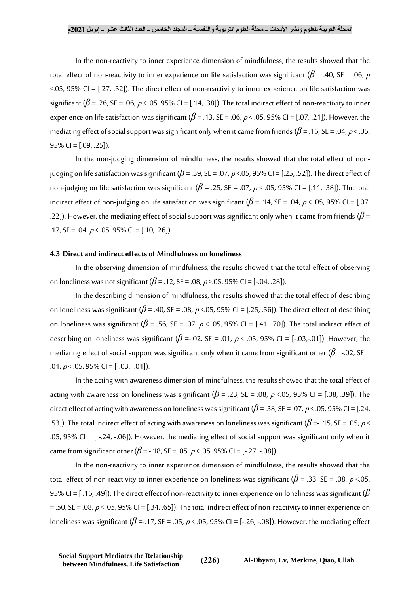In the non-reactivity to inner experience dimension of mindfulness, the results showed that the total effect of non-reactivity to inner experience on life satisfaction was significant ( $\beta$  = .40, SE = .06, p <.05, 95% CI = [.27, .52]). The direct effect of non-reactivity to inner experience on life satisfaction was significant ( $\beta$  = .26, SE = .06, p < .05, 95% CI = [.14, .38]). The total indirect effect of non-reactivity to inner experience on life satisfaction was significant ( $\beta$  = .13, SE = .06,  $p$  < .05, 95% CI = [.07, .21]). However, the mediating effect of social support was significant only when it came from friends ( $\beta$  = .16, SE = .04,  $p$  < .05,  $95\%$  CI = [.09, .25]).

In the non-judging dimension of mindfulness, the results showed that the total effect of nonjudging on life satisfaction was significant (*β* = .39, SE = .07, <sup>p</sup> <.05, 95% CI = [.25, .52]). The direct effect of non-judging on life satisfaction was significant (*β* = .25, SE = .07, <sup>p</sup> < .05, 95% CI = [.11, .38]). The total indirect effect of non-judging on life satisfaction was significant ( $\beta$  = .14, SE = .04, p < .05, 95% CI = [.07, .22]). However, the mediating effect of social support was significant only when it came from friends (*β* = .17,  $SE = .04$ ,  $p < .05$ ,  $95\%$  CI = [.10, .26]).

#### **4.3 Direct and indirect effects of Mindfulness on loneliness**

In the observing dimension of mindfulness, the results showed that the total effect of observing on loneliness was not significant (*β* = .12, SE = .08, <sup>p</sup> >.05, 95% CI = [-.04, .28]).

In the describing dimension of mindfulness, the results showed that the total effect of describing on loneliness was significant ( $\beta$  = .40, SE = .08,  $\rho$  <.05, 95% CI = [.25, .56]). The direct effect of describing on loneliness was significant ( $\beta$  = .56, SE = .07,  $p$  < .05, 95% CI = [.41, .70]). The total indirect effect of describing on loneliness was significant ( $\beta$  =-.02, SE = .01,  $p < .05$ , 95% CI = [-.03,-.01]). However, the mediating effect of social support was significant only when it came from significant other ( $\beta$  =-.02, SE = .01,  $p <$  .05, 95% CI = [-.03, -.01]).

In the acting with awareness dimension of mindfulness, the results showed that the total effect of acting with awareness on loneliness was significant ( $\beta$  = .23, SE = .08, p <.05, 95% CI = [.08, .39]). The direct effect of acting with awareness on loneliness was significant ( $\beta$  = .38, SE = .07, p < .05, 95% CI = [.24, .53]). The total indirect effect of acting with awareness on loneliness was significant ( $\beta$  =- .15, SE = .05,  $\rho$  < .05, 95% CI =  $[-.24, -.06]$ ). However, the mediating effect of social support was significant only when it came from significant other ( $\beta$  = -.18, SE = .05,  $p$  < .05, 95% CI = [-.27, -.08]).

In the non-reactivity to inner experience dimension of mindfulness, the results showed that the total effect of non-reactivity to inner experience on loneliness was significant ( $\beta$  = .33, SE = .08, p <.05, 95% CI = [ .16, .49]). The direct effect of non-reactivity to inner experience on loneliness was significant (*β*  $=$  .50, SE = .08,  $p <$  .05, 95% CI = [.34, .65]). The total indirect effect of non-reactivity to inner experience on loneliness was significant ( $\beta$  =-.17, SE = .05, p < .05, 95% CI = [-.26, -.08]). However, the mediating effect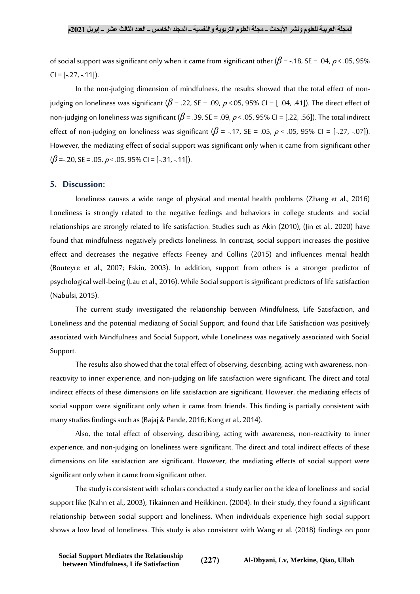of social support was significant only when it came from significant other (*β* = -.18, SE = .04, <sup>p</sup> < .05, 95%  $CI = [-27, -.11]$ .

In the non-judging dimension of mindfulness, the results showed that the total effect of nonjudging on loneliness was significant (*β* = .22, SE = .09, <sup>p</sup> <.05, 95% CI = [ .04, .41]). The direct effect of non-judging on loneliness was significant (*β* = .39, SE = .09, <sup>p</sup> < .05, 95% CI = [.22, .56]). The total indirect effect of non-judging on loneliness was significant ( $\beta$  = -.17, SE = .05,  $\rho$  < .05, 95% CI = [-.27, -.07]). However, the mediating effect of social support was significant only when it came from significant other  $(\beta = -20, \text{SE} = .05, \, \rho < .05, \, 95\% \text{ CI} = [-.31, -.11]).$ 

## **5. Discussion:**

loneliness causes a wide range of physical and mental health problems (Zhang et al., 2016) Loneliness is strongly related to the negative feelings and behaviors in college students and social relationships are strongly related to life satisfaction. Studies such as Akin (2010); (Jin et al., 2020) have found that mindfulness negatively predicts loneliness. In contrast, social support increases the positive effect and decreases the negative effects Feeney and Collins (2015) and influences mental health (Bouteyre et al., 2007; Eskin, 2003). In addition, support from others is a stronger predictor of psychological well-being (Lau et al., 2016). While Social support is significant predictors of life satisfaction (Nabulsi, 2015).

The current study investigated the relationship between Mindfulness, Life Satisfaction, and Loneliness and the potential mediating of Social Support, and found that Life Satisfaction was positively associated with Mindfulness and Social Support, while Loneliness was negatively associated with Social Support.

The results also showed that the total effect of observing, describing, acting with awareness, nonreactivity to inner experience, and non-judging on life satisfaction were significant. The direct and total indirect effects of these dimensions on life satisfaction are significant. However, the mediating effects of social support were significant only when it came from friends. This finding is partially consistent with many studies findings such as (Bajaj & Pande, 2016; Kong et al., 2014).

Also, the total effect of observing, describing, acting with awareness, non-reactivity to inner experience, and non-judging on loneliness were significant. The direct and total indirect effects of these dimensions on life satisfaction are significant. However, the mediating effects of social support were significant only when it came from significant other.

The study is consistent with scholars conducted a study earlier on the idea of loneliness and social support like (Kahn et al., 2003); Tikainnen and Heikkinen. (2004). In their study, they found a significant relationship between social support and loneliness. When individuals experience high social support shows a low level of loneliness. This study is also consistent with Wang et al. (2018) findings on poor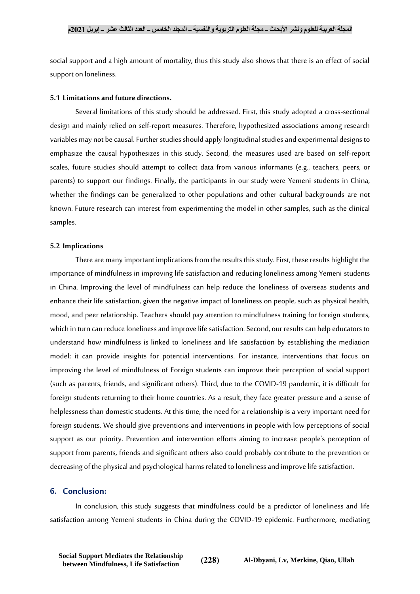social support and a high amount of mortality, thus this study also shows that there is an effect of social support on loneliness.

#### **5.1 Limitations and future directions.**

Several limitations of this study should be addressed. First, this study adopted a cross-sectional design and mainly relied on self-report measures. Therefore, hypothesized associations among research variables may not be causal. Further studies should apply longitudinal studiesand experimental designs to emphasize the causal hypothesizes in this study. Second, the measures used are based on self-report scales, future studies should attempt to collect data from various informants (e.g., teachers, peers, or parents) to support our findings. Finally, the participants in our study were Yemeni students in China, whether the findings can be generalized to other populations and other cultural backgrounds are not known. Future research can interest from experimenting the model in other samples, such as the clinical samples.

#### **5.2 Implications**

There are many important implications from the results this study. First, these results highlight the importance of mindfulness in improving life satisfaction and reducing loneliness among Yemeni students in China. Improving the level of mindfulness can help reduce the loneliness of overseas students and enhance their life satisfaction, given the negative impact of loneliness on people, such as physical health, mood, and peer relationship. Teachers should pay attention to mindfulness training for foreign students, which in turn can reduce loneliness and improve life satisfaction. Second, our results can help educators to understand how mindfulness is linked to loneliness and life satisfaction by establishing the mediation model; it can provide insights for potential interventions. For instance, interventions that focus on improving the level of mindfulness of Foreign students can improve their perception of social support (such as parents, friends, and significant others). Third, due to the COVID-19 pandemic, it is difficult for foreign students returning to their home countries. As a result, they face greater pressure and a sense of helplessness than domestic students. At this time, the need for a relationship is a very important need for foreign students. We should give preventions and interventions in people with low perceptions of social support as our priority. Prevention and intervention efforts aiming to increase people's perception of support from parents, friends and significant others also could probably contribute to the prevention or decreasing of the physical and psychological harms related to loneliness and improve life satisfaction.

## **6. Conclusion:**

In conclusion, this study suggests that mindfulness could be a predictor of loneliness and life satisfaction among Yemeni students in China during the COVID-19 epidemic. Furthermore, mediating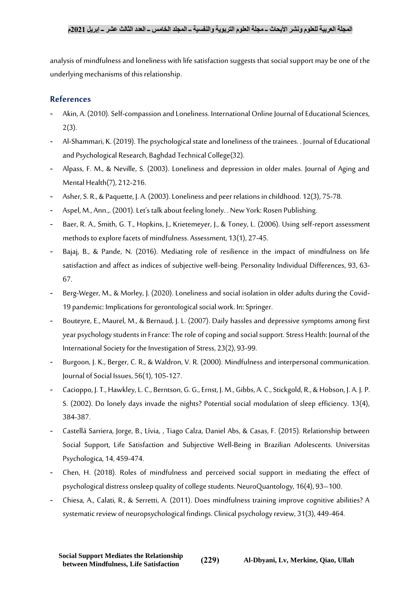analysis of mindfulness and loneliness with life satisfaction suggests that social support may be one of the underlying mechanisms of this relationship.

## **References**

- Akin, A. (2010). Self-compassion and Loneliness. International Online Journal of Educational Sciences,  $2(3)$ .
- Al-Shammari, K. (2019). The psychological state and loneliness of the trainees. . Journal of Educational and Psychological Research, Baghdad Technical College(32).
- Alpass, F. M., & Neville, S. (2003). Loneliness and depression in older males. Journal of Aging and Mental Health(7), 212-216.
- Asher, S. R., & Paquette, J. A. (2003). Loneliness and peer relations in childhood. 12(3), 75-78.
- Aspel, M., Ann.,. (2001). Let's talk about feeling lonely. . New York: Rosen Publishing.
- Baer, R. A., Smith, G. T., Hopkins, J., Krietemeyer, J., & Toney, L. (2006). Using self-report assessment methods to explore facets of mindfulness. Assessment, 13(1), 27-45.
- Bajaj, B., & Pande, N. (2016). Mediating role of resilience in the impact of mindfulness on life satisfaction and affect as indices of subjective well-being. Personality Individual Differences, 93, 63- 67.
- Berg-Weger, M., & Morley, J. (2020). Loneliness and social isolation in older adults during the Covid-19 pandemic: Implications for gerontological social work. In: Springer.
- Bouteyre, E., Maurel, M., & Bernaud, J. L. (2007). Daily hassles and depressive symptoms among first year psychology students in France: The role of coping and social support. Stress Health: Journal of the International Society for the Investigation of Stress, 23(2), 93-99.
- Burgoon, J. K., Berger, C. R., & Waldron, V. R. (2000). Mindfulness and interpersonal communication. Journal of Social Issues, 56(1), 105-127.
- Cacioppo, J. T., Hawkley, L. C., Berntson, G. G., Ernst, J. M., Gibbs, A. C., Stickgold, R., & Hobson, J. A. J. P. S. (2002). Do lonely days invade the nights? Potential social modulation of sleep efficiency. 13(4), 384-387.
- Castellá Sarriera, Jorge, B., Lívia, , Tiago Calza, Daniel Abs, & Casas, F. (2015). Relationship between Social Support, Life Satisfaction and Subjective Well-Being in Brazilian Adolescents. Universitas Psychologica, 14, 459-474.
- Chen, H. (2018). Roles of mindfulness and perceived social support in mediating the effect of psychological distress onsleep quality of college students. NeuroQuantology, 16(4), 93–100.
- Chiesa, A., Calati, R., & Serretti, A. (2011). Does mindfulness training improve cognitive abilities? A systematic review of neuropsychological findings. Clinical psychology review, 31(3), 449-464.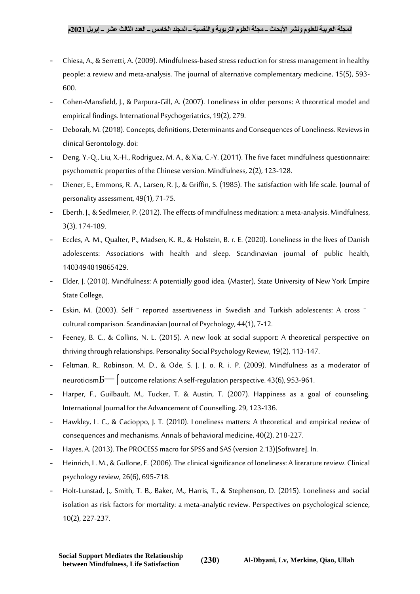- Chiesa, A., & Serretti, A. (2009). Mindfulness-based stress reduction for stress management in healthy people: a review and meta-analysis. The journal of alternative complementary medicine, 15(5), 593- 600.
- Cohen-Mansfield, J., & Parpura-Gill, A. (2007). Loneliness in older persons: A theoretical model and empirical findings. International Psychogeriatrics, 19(2), 279.
- Deborah, M. (2018). Concepts, definitions, Determinants and Consequences of Loneliness. Reviews in clinical Gerontology. doi:
- Deng, Y.-Q., Liu, X.-H., Rodriguez, M. A., & Xia, C.-Y. (2011). The five facet mindfulness questionnaire: psychometric properties of the Chinese version. Mindfulness, 2(2), 123-128.
- Diener, E., Emmons, R. A., Larsen, R. J., & Griffin, S. (1985). The satisfaction with life scale. Journal of personality assessment, 49(1), 71-75.
- Eberth, J., & Sedlmeier, P. (2012). The effects of mindfulness meditation: a meta-analysis. Mindfulness, 3(3), 174-189.
- Eccles, A. M., Qualter, P., Madsen, K. R., & Holstein, B. r. E. (2020). Loneliness in the lives of Danish adolescents: Associations with health and sleep. Scandinavian journal of public health, 1403494819865429.
- Elder, J. (2010). Mindfulness: A potentially good idea. (Master), State University of New York Empire State College,
- Eskin, M. (2003). Self <sup>-</sup> reported assertiveness in Swedish and Turkish adolescents: A cross <sup>-</sup> cultural comparison. Scandinavian Journal of Psychology, 44(1), 7-12.
- Feeney, B. C., & Collins, N. L. (2015). A new look at social support: A theoretical perspective on thriving through relationships. Personality Social Psychology Review, 19(2), 113-147.
- Feltman, R., Robinson, M. D., & Ode, S. J. J. o. R. i. P. (2009). Mindfulness as a moderator of neuroticism $\overline{b}$  outcome relations: A self-regulation perspective. 43(6), 953-961.
- Harper, F., Guilbault, M., Tucker, T. & Austin, T. (2007). Happiness as a goal of counseling. International Journal for the Advancement of Counselling, 29, 123-136.
- Hawkley, L. C., & Cacioppo, J. T. (2010). Loneliness matters: A theoretical and empirical review of consequencesand mechanisms. Annals of behavioral medicine, 40(2), 218-227.
- Hayes, A. (2013). The PROCESS macro for SPSS and SAS (version 2.13)[Software]. In.
- Heinrich, L. M., & Gullone, E. (2006). The clinical significance of loneliness: A literature review. Clinical psychology review, 26(6), 695-718.
- Holt-Lunstad, J., Smith, T. B., Baker, M., Harris, T., & Stephenson, D. (2015). Loneliness and social isolation as risk factors for mortality: a meta-analytic review. Perspectives on psychological science, 10(2), 227-237.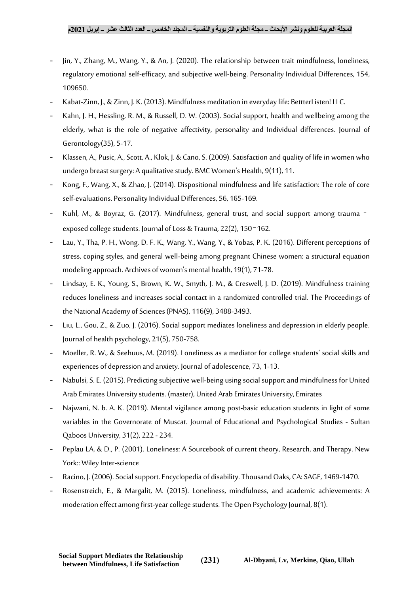- Jin, Y., Zhang, M., Wang, Y., & An, J. (2020). The relationship between trait mindfulness, loneliness, regulatory emotional self-efficacy, and subjective well-being. Personality Individual Differences, 154, 109650.
- Kabat-Zinn, J., & Zinn, J. K. (2013). Mindfulness meditation in everyday life: BettterListen! LLC.
- Kahn, J. H., Hessling, R. M., & Russell, D. W. (2003). Social support, health and wellbeing among the elderly, what is the role of negative affectivity, personality and Individual differences. Journal of Gerontology(35), 5-17.
- Klassen, A., Pusic, A., Scott, A., Klok, J. & Cano, S. (2009). Satisfaction and quality of life in women who undergo breast surgery: A qualitative study. BMC Women's Health, 9(11), 11.
- Kong, F., Wang, X., & Zhao, J. (2014). Dispositional mindfulness and life satisfaction: The role of core self-evaluations. Personality Individual Differences, 56, 165-169.
- Kuhl, M., & Boyraz, G. (2017). Mindfulness, general trust, and social support among trauma exposed college students. Journal of Loss & Trauma, 22(2), 150–162.
- Lau, Y., Tha, P. H., Wong, D. F. K., Wang, Y., Wang, Y., & Yobas, P. K. (2016). Different perceptions of stress, coping styles, and general well-being among pregnant Chinese women: a structural equation modeling approach. Archives of women's mental health, 19(1), 71-78.
- Lindsay, E. K., Young, S., Brown, K. W., Smyth, J. M., & Creswell, J. D. (2019). Mindfulness training reduces loneliness and increases social contact in a randomized controlled trial. The Proceedings of the National Academy of Sciences (PNAS), 116(9), 3488-3493.
- Liu, L., Gou, Z., & Zuo, J. (2016). Social support mediates loneliness and depression in elderly people. Journal of health psychology, 21(5), 750-758.
- Moeller, R. W., & Seehuus, M. (2019). Loneliness as a mediator for college students' social skills and experiences of depression and anxiety. Journal of adolescence, 73, 1-13.
- Nabulsi, S. E. (2015). Predicting subjective well-being using social support and mindfulness for United Arab Emirates University students. (master), United Arab Emirates University, Emirates
- Najwani, N. b. A. K. (2019). Mental vigilance among post-basic education students in light of some variables in the Governorate of Muscat. Journal of Educational and Psychological Studies - Sultan Qaboos University, 31(2), 222 - 234.
- Peplau LA, & D., P. (2001). Loneliness: A Sourcebook of current theory, Research, and Therapy. New York:: Wiley Inter-science
- Racino, J. (2006). Social support. Encyclopedia of disability. Thousand Oaks, CA: SAGE, 1469-1470.
- Rosenstreich, E., & Margalit, M. (2015). Loneliness, mindfulness, and academic achievements: A moderation effect among first-year college students. The Open Psychology Journal, 8(1).